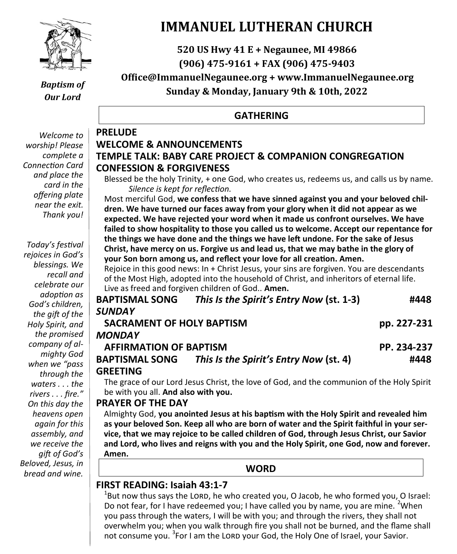

## *Baptism of Our Lord*

**PRELUDE**

*Welcome to worship! Please complete a Connection Card and place the card in the offering plate near the exit. Thank you!*

*Today's festival rejoices in God's blessings. We recall and celebrate our adoption as God's children, the gift of the Holy Spirit, and the promised company of almighty God when we "pass through the waters . . . the rivers . . . fire." On this day the heavens open again for this assembly, and we receive the gift of God's Beloved, Jesus, in bread and wine.*

## **IMMANUEL LUTHERAN CHURCH**

## **520 US Hwy 41 E + Negaunee, MI 49866 (906) 475-9161 + FAX (906) 475-9403 Office@ImmanuelNegaunee.org + www.ImmanuelNegaunee.org Sunday & Monday, January 9th & 10th, 2022**

## **GATHERING**

## **WELCOME & ANNOUNCEMENTS TEMPLE TALK: BABY CARE PROJECT & COMPANION CONGREGATION CONFESSION & FORGIVENESS**

Blessed be the holy Trinity, + one God, who creates us, redeems us, and calls us by name. *Silence is kept for reflection.*

Most merciful God, **we confess that we have sinned against you and your beloved children. We have turned our faces away from your glory when it did not appear as we expected. We have rejected your word when it made us confront ourselves. We have failed to show hospitality to those you called us to welcome. Accept our repentance for the things we have done and the things we have left undone. For the sake of Jesus Christ, have mercy on us. Forgive us and lead us, that we may bathe in the glory of your Son born among us, and reflect your love for all creation. Amen.**

Rejoice in this good news: In + Christ Jesus, your sins are forgiven. You are descendants of the Most High, adopted into the household of Christ, and inheritors of eternal life. Live as freed and forgiven children of God.. **Amen.**

| <b>BAPTISMAL SONG</b>         | This Is the Spirit's Entry Now (st. 1-3)                                                  | #448        |
|-------------------------------|-------------------------------------------------------------------------------------------|-------------|
| <b>SUNDAY</b>                 |                                                                                           |             |
| SACRAMENT OF HOLY BAPTISM     |                                                                                           | pp. 227-231 |
| <b>MONDAY</b>                 |                                                                                           |             |
| <b>AFFIRMATION OF BAPTISM</b> |                                                                                           | PP. 234-237 |
| <b>BAPTISMAL SONG</b>         | This Is the Spirit's Entry Now (st. 4)                                                    | #448        |
| <b>GREETING</b>               |                                                                                           |             |
|                               | The grace of our Lord Jesus Christ, the love of God, and the communion of the Holy Spirit |             |

be with you all. **And also with you.**

## **PRAYER OF THE DAY**

Almighty God, **you anointed Jesus at his baptism with the Holy Spirit and revealed him as your beloved Son. Keep all who are born of water and the Spirit faithful in your service, that we may rejoice to be called children of God, through Jesus Christ, our Savior and Lord, who lives and reigns with you and the Holy Spirit, one God, now and forever. Amen.**

## **WORD**

## **FIRST READING: Isaiah 43:1-7**

 $^{1}$ But now thus says the LORD, he who created you, O Jacob, he who formed you, O Israel: Do not fear, for I have redeemed you; I have called you by name, you are mine. <sup>2</sup>When you pass through the waters, I will be with you; and through the rivers, they shall not overwhelm you; when you walk through fire you shall not be burned, and the flame shall not consume you. <sup>3</sup>For I am the LORD your God, the Holy One of Israel, your Savior.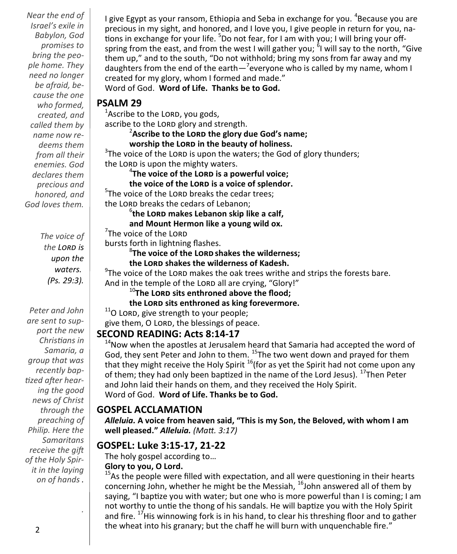*Near the end of Israel's exile in Babylon, God promises to bring the people home. They need no longer be afraid, because the one who formed, created, and called them by name now redeems them from all their enemies. God declares them precious and honored, and God loves them.*

> *The voice of the Lord is upon the waters. (Ps. 29:3).*

*Peter and John are sent to support the new Christians in Samaria, a group that was recently baptized after hearing the good news of Christ through the preaching of Philip. Here the Samaritans receive the gift of the Holy Spirit in the laying on of hands .*

I give Egypt as your ransom, Ethiopia and Seba in exchange for you. <sup>4</sup>Because you are precious in my sight, and honored, and I love you, I give people in return for you, nations in exchange for your life. <sup>5</sup>Do not fear, for I am with you; I will bring your offspring from the east, and from the west I will gather you; <sup>6</sup>I will say to the north, "Give them up," and to the south, "Do not withhold; bring my sons from far away and my daughters from the end of the earth $-$ <sup>7</sup> everyone who is called by my name, whom I created for my glory, whom I formed and made."

Word of God. **Word of Life. Thanks be to God.**

## **PSALM 29**

<sup>1</sup>Ascribe to the LORD, you gods, ascribe to the LORD glory and strength.

## 2 **Ascribe to the Lord the glory due God's name;**

**worship the Lord in the beauty of holiness.**

 $3$ The voice of the LORD is upon the waters; the God of glory thunders; the LORD is upon the mighty waters.

4 **The voice of the Lord is a powerful voice;**

**the voice of the Lord is a voice of splendor.**

<sup>5</sup>The voice of the LORD breaks the cedar trees; the LORD breaks the cedars of Lebanon;

6 **the Lord makes Lebanon skip like a calf,**

**and Mount Hermon like a young wild ox.**

 $7$ The voice of the LORD

bursts forth in lightning flashes.

8 **The voice of the Lord shakes the wilderness;**

**the Lord shakes the wilderness of Kadesh.**

 $9$ The voice of the LORD makes the oak trees writhe and strips the forests bare. And in the temple of the LORD all are crying, "Glory!"

<sup>10</sup>**The Lord sits enthroned above the flood;**

**the Lord sits enthroned as king forevermore.**

 $11$ O LORD, give strength to your people;

give them, O LORD, the blessings of peace.

## **SECOND READING: Acts 8:14-17**

 $14$ Now when the apostles at Jerusalem heard that Samaria had accepted the word of God, they sent Peter and John to them. <sup>15</sup>The two went down and prayed for them that they might receive the Holy Spirit <sup>16</sup>(for as yet the Spirit had not come upon any of them; they had only been baptized in the name of the Lord Jesus). <sup>17</sup>Then Peter and John laid their hands on them, and they received the Holy Spirit. Word of God. **Word of Life. Thanks be to God.** 

## **GOSPEL ACCLAMATION**

*Alleluia.* **A voice from heaven said, "This is my Son, the Beloved, with whom I am well pleased."** *Alleluia. (Matt. 3:17)*

## **GOSPEL: Luke 3:15-17, 21-22**

The holy gospel according to…

## **Glory to you, O Lord.**

 $15$ As the people were filled with expectation, and all were questioning in their hearts concerning John, whether he might be the Messiah, <sup>16</sup>John answered all of them by saying, "I baptize you with water; but one who is more powerful than I is coming; I am not worthy to untie the thong of his sandals. He will baptize you with the Holy Spirit and fire. <sup>17</sup>His winnowing fork is in his hand, to clear his threshing floor and to gather the wheat into his granary; but the chaff he will burn with unquenchable fire."

*.*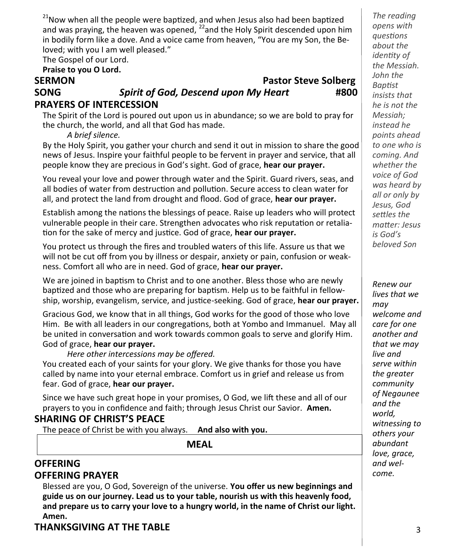$21$ Now when all the people were baptized, and when Jesus also had been baptized and was praying, the heaven was opened,  $^{22}$  and the Holy Spirit descended upon him in bodily form like a dove. And a voice came from heaven, "You are my Son, the Beloved; with you I am well pleased."

The Gospel of our Lord.

#### **Praise to you O Lord.**

## **SERMON Pastor Steve Solberg SONG** *Spirit of God, Descend upon My Heart* **#800**

The Spirit of the Lord is poured out upon us in abundance; so we are bold to pray for the church, the world, and all that God has made.

*A brief silence.*

**PRAYERS OF INTERCESSION**

By the Holy Spirit, you gather your church and send it out in mission to share the good news of Jesus. Inspire your faithful people to be fervent in prayer and service, that all people know they are precious in God's sight. God of grace, **hear our prayer.**

You reveal your love and power through water and the Spirit. Guard rivers, seas, and all bodies of water from destruction and pollution. Secure access to clean water for all, and protect the land from drought and flood. God of grace, **hear our prayer.**

Establish among the nations the blessings of peace. Raise up leaders who will protect vulnerable people in their care. Strengthen advocates who risk reputation or retaliation for the sake of mercy and justice. God of grace, **hear our prayer.**

You protect us through the fires and troubled waters of this life. Assure us that we will not be cut off from you by illness or despair, anxiety or pain, confusion or weakness. Comfort all who are in need. God of grace, **hear our prayer.**

We are joined in baptism to Christ and to one another. Bless those who are newly baptized and those who are preparing for baptism. Help us to be faithful in fellowship, worship, evangelism, service, and justice-seeking. God of grace, **hear our prayer.**

Gracious God, we know that in all things, God works for the good of those who love Him. Be with all leaders in our congregations, both at Yombo and Immanuel. May all be united in conversation and work towards common goals to serve and glorify Him. God of grace, **hear our prayer.** 

*Here other intercessions may be offered.*

You created each of your saints for your glory. We give thanks for those you have called by name into your eternal embrace. Comfort us in grief and release us from fear. God of grace, **hear our prayer.**

Since we have such great hope in your promises, O God, we lift these and all of our prayers to you in confidence and faith; through Jesus Christ our Savior. **Amen.**

## **SHARING OF CHRIST'S PEACE**

The peace of Christ be with you always. **And also with you.**

**MEAL**

## **OFFERING OFFERING PRAYER**

Blessed are you, O God, Sovereign of the universe. **You offer us new beginnings and guide us on our journey. Lead us to your table, nourish us with this heavenly food, and prepare us to carry your love to a hungry world, in the name of Christ our light. Amen.**

## **THANKSGIVING AT THE TABLE**

*The reading opens with questions about the identity of the Messiah. John the Baptist insists that he is not the Messiah; instead he points ahead to one who is coming. And whether the voice of God was heard by all or only by Jesus, God settles the matter: Jesus is God's beloved Son*

*Renew our lives that we may welcome and care for one another and that we may live and serve within the greater community of Negaunee and the world, witnessing to others your abundant love, grace, and welcome.*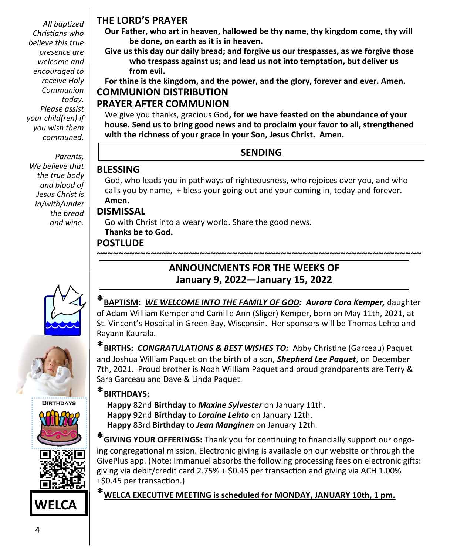*All baptized Christians who believe this true presence are welcome and encouraged to receive Holy Communion today. Please assist your child(ren) if you wish them communed.*

*Parents, We believe that the true body and blood of Jesus Christ is in/with/under the bread and wine.* 









**WELCA**

## **THE LORD'S PRAYER**

**Our Father, who art in heaven, hallowed be thy name, thy kingdom come, thy will be done, on earth as it is in heaven.**

**Give us this day our daily bread; and forgive us our trespasses, as we forgive those who trespass against us; and lead us not into temptation, but deliver us from evil.**

**For thine is the kingdom, and the power, and the glory, forever and ever. Amen. COMMUNION DISTRIBUTION**

## **PRAYER AFTER COMMUNION**

We give you thanks, gracious God**, for we have feasted on the abundance of your house. Send us to bring good news and to proclaim your favor to all, strengthened with the richness of your grace in your Son, Jesus Christ. Amen.**

## **SENDING**

## **BLESSING**

God, who leads you in pathways of righteousness, who rejoices over you, and who calls you by name, + bless your going out and your coming in, today and forever. **Amen.**

## **DISMISSAL**

Go with Christ into a weary world. Share the good news. **Thanks be to God.**

## **POSTLUDE**

# **January 9, 2022—January 15, 2022**

**\*BAPTISM:** *WE WELCOME INTO THE FAMILY OF GOD: Aurora Cora Kemper,* daughter of Adam William Kemper and Camille Ann (Sliger) Kemper, born on May 11th, 2021, at St. Vincent's Hospital in Green Bay, Wisconsin. Her sponsors will be Thomas Lehto and Rayann Kaurala.

**~~~~~~~~~~~~~~~~~~~~~~~~~~~~~~~~~~~~~~~~~~~~~~~~~~~~~~~~~~~~**

**ANNOUNCMENTS FOR THE WEEKS OF**

**\*BIRTHS:** *CONGRATULATIONS & BEST WISHES TO:* Abby Christine (Garceau) Paquet and Joshua William Paquet on the birth of a son, *Shepherd Lee Paquet*, on December 7th, 2021. Proud brother is Noah William Paquet and proud grandparents are Terry & Sara Garceau and Dave & Linda Paquet.

## **\*BIRTHDAYS:**

 **Happy** 82nd **Birthday** to *Maxine Sylvester* on January 11th. **Happy** 92nd **Birthday** to *Loraine Lehto* on January 12th. **Happy** 83rd **Birthday** to *Jean Manginen* on January 12th.

**\*GIVING YOUR OFFERINGS:** Thank you for continuing to financially support our ongoing congregational mission. Electronic giving is available on our website or through the GivePlus app. (Note: Immanuel absorbs the following processing fees on electronic gifts: giving via debit/credit card 2.75% + \$0.45 per transaction and giving via ACH 1.00% +\$0.45 per transaction.)

**\*WELCA EXECUTIVE MEETING is scheduled for MONDAY, JANUARY 10th, 1 pm.**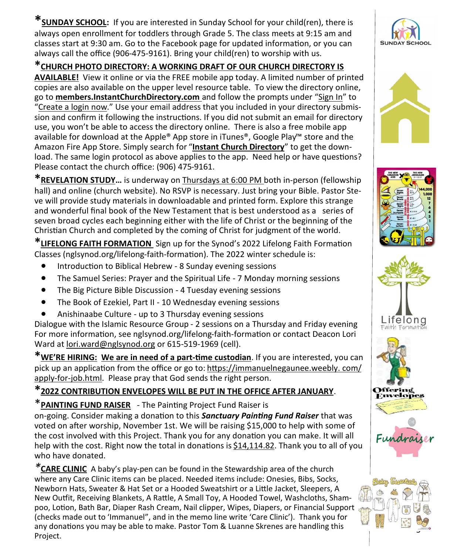**\*SUNDAY SCHOOL:** If you are interested in Sunday School for your child(ren), there is always open enrollment for toddlers through Grade 5. The class meets at 9:15 am and classes start at 9:30 am. Go to the Facebook page for updated information, or you can always call the office (906-475-9161). Bring your child(ren) to worship with us.

#### **\*CHURCH PHOTO DIRECTORY: A WORKING DRAFT OF OUR CHURCH DIRECTORY IS**

**AVAILABLE!** View it online or via the FREE mobile app today. A limited number of printed copies are also available on the upper level resource table. To view the directory online, go to **members.InstantChurchDirectory.com** and follow the prompts under "Sign In" to "Create a login now." Use your email address that you included in your directory submission and confirm it following the instructions. If you did not submit an email for directory use, you won't be able to access the directory online. There is also a free mobile app available for download at the Apple® App store in iTunes®, Google Play™ store and the Amazon Fire App Store. Simply search for "**Instant Church Directory**" to get the download. The same login protocol as above applies to the app. Need help or have questions? Please contact the church office: (906) 475-9161.

**\*REVELATION STUDY…** is underway on Thursdays at 6:00 PM both in-person (fellowship hall) and online (church website). No RSVP is necessary. Just bring your Bible. Pastor Steve will provide study materials in downloadable and printed form. Explore this strange and wonderful final book of the New Testament that is best understood as a series of seven broad cycles each beginning either with the life of Christ or the beginning of the Christian Church and completed by the coming of Christ for judgment of the world.

**\*LIFELONG FAITH FORMATION** Sign up for the Synod's 2022 Lifelong Faith Formation Classes (nglsynod.org/lifelong-faith-formation). The 2022 winter schedule is:

- Introduction to Biblical Hebrew 8 Sunday evening sessions
- The Samuel Series: Prayer and the Spiritual Life 7 Monday morning sessions
- The Big Picture Bible Discussion 4 Tuesday evening sessions
- The Book of Ezekiel, Part II 10 Wednesday evening sessions
- Anishinaabe Culture up to 3 Thursday evening sessions

Dialogue with the Islamic Resource Group - 2 sessions on a Thursday and Friday evening For more information, see nglsynod.org/lifelong-faith-formation or contact Deacon Lori Ward at [lori.ward@nglsynod.org](mailto:lori.ward@nglsynod.org) or 615-519-1969 (cell).

**\*WE'RE HIRING: We are in need of a part-time custodian**. If you are interested, you can pick up an application from the office or go to: [https://immanuelnegaunee.weebly. com/](https://immanuelnegaunee.weebly.com/apply-for-job.html) apply-for-[job.html.](https://immanuelnegaunee.weebly.com/apply-for-job.html) Please pray that God sends the right person.

## **\*2022 CONTRIBUTION ENVELOPES WILL BE PUT IN THE OFFICE AFTER JANUARY**.

\***PAINTING FUND RAISER** - The Painting Project Fund Raiser is

on-going. Consider making a donation to this *Sanctuary Painting Fund Raiser* that was voted on after worship, November 1st. We will be raising \$15,000 to help with some of the cost involved with this Project. Thank you for any donation you can make. It will all help with the cost. Right now the total in donations is \$14,114.82. Thank you to all of you who have donated.

*\****CARE CLINIC** A baby's play-pen can be found in the Stewardship area of the church where any Care Clinic items can be placed. Needed items include: Onesies, Bibs, Socks, Newborn Hats, Sweater & Hat Set or a Hooded Sweatshirt or a Little Jacket, Sleepers, A New Outfit, Receiving Blankets, A Rattle, A Small Toy, A Hooded Towel, Washcloths, Shampoo, Lotion, Bath Bar, Diaper Rash Cream, Nail clipper, Wipes, Diapers, or Financial Support (checks made out to 'Immanuel", and in the memo line write 'Care Clinic'). Thank you for any donations you may be able to make. Pastor Tom & Luanne Skrenes are handling this Project.













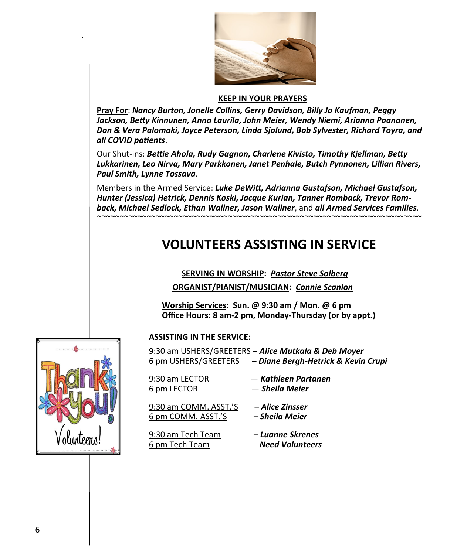

#### **KEEP IN YOUR PRAYERS**

**Pray For**: *Nancy Burton, Jonelle Collins, Gerry Davidson, Billy Jo Kaufman, Peggy Jackson, Betty Kinnunen, Anna Laurila, John Meier, Wendy Niemi, Arianna Paananen, Don & Vera Palomaki, Joyce Peterson, Linda Sjolund, Bob Sylvester, Richard Toyra, and all COVID patients*.

Our Shut-ins: *Bettie Ahola, Rudy Gagnon, Charlene Kivisto, Timothy Kjellman, Betty Lukkarinen, Leo Nirva, Mary Parkkonen, Janet Penhale, Butch Pynnonen, Lillian Rivers, Paul Smith, Lynne Tossava*.

Members in the Armed Service: *Luke DeWitt, Adrianna Gustafson, Michael Gustafson, Hunter (Jessica) Hetrick, Dennis Koski, Jacque Kurian, Tanner Romback, Trevor Romback, Michael Sedlock, Ethan Wallner, Jason Wallner*, and *all Armed Services Families.*

*~~~~~~~~~~~~~~~~~~~~~~~~~~~~~~~~~~~~~~~~~~~~~~~~~~~~~~~~~~~~~~~~~~~~~~~~*

## **VOLUNTEERS ASSISTING IN SERVICE**

#### **SERVING IN WORSHIP:** *Pastor Steve Solberg*

**ORGANIST/PIANIST/MUSICIAN:** *Connie Scanlon* 

**Worship Services: Sun. @ 9:30 am / Mon. @ 6 pm Office Hours: 8 am-2 pm, Monday-Thursday (or by appt.)**

#### **ASSISTING IN THE SERVICE:**

|                      | <u>9:30 am USHERS/GREETERS – Alice Mutkala &amp; Deb Moyer</u> |
|----------------------|----------------------------------------------------------------|
| 6 pm USHERS/GREETERS | - Diane Bergh-Hetrick & Kevin Crupi                            |
|                      |                                                                |
| 9:30 am LECTOR       | — Kathleen Partanen                                            |
| 6 pm LECTOR          | — Sheila Meier                                                 |

9:30 am COMM. ASST.'S *– Alice Zinsser* 6 pm COMM. ASST.'S – *Sheila Meier*

9:30 am Tech Team – *Luanne Skrenes* 6 pm Tech Team - *Need Volunteers*



*.*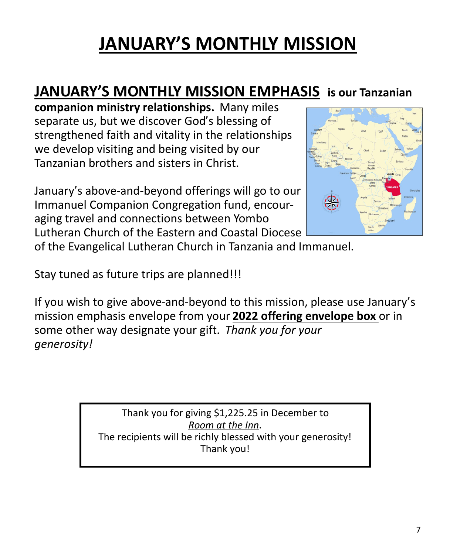## **JANUARY'S MONTHLY MISSION**

## **JANUARY'S MONTHLY MISSION EMPHASIS is our Tanzanian**

**companion ministry relationships.** Many miles separate us, but we discover God's blessing of strengthened faith and vitality in the relationships we develop visiting and being visited by our Tanzanian brothers and sisters in Christ.

January's above-and-beyond offerings will go to our Immanuel Companion Congregation fund, encouraging travel and connections between Yombo Lutheran Church of the Eastern and Coastal Diocese



of the Evangelical Lutheran Church in Tanzania and Immanuel.

Stay tuned as future trips are planned!!!

If you wish to give above-and-beyond to this mission, please use January's mission emphasis envelope from your **2022 offering envelope box** or in some other way designate your gift. *Thank you for your generosity!* 

> Thank you for giving \$1,225.25 in December to *Room at the Inn*. The recipients will be richly blessed with your generosity! Thank you!